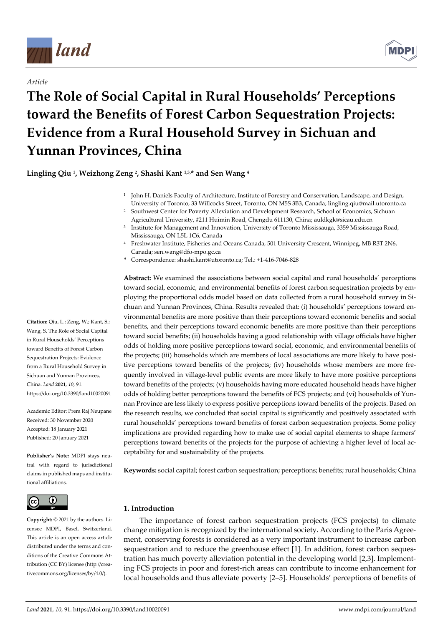

# *Article*

# **The Role of Social Capital in Rural Households' Perceptions toward the Benefits of Forest Carbon Sequestration Projects: Evidence from a Rural Household Survey in Sichuan and Yunnan Provinces, China**

**Lingling Qiu <sup>1</sup> , Weizhong Zeng <sup>2</sup> , Shashi Kant 1,3,\* and Sen Wang <sup>4</sup>**

- <sup>1</sup> John H. Daniels Faculty of Architecture, Institute of Forestry and Conservation, Landscape, and Design, University of Toronto, 33 Willcocks Street, Toronto, ON M5S 3B3, Canada; lingling.qiu@mail.utoronto.ca
- <sup>2</sup> Southwest Center for Poverty Alleviation and Development Research, School of Economics, Sichuan Agricultural University, #211 Huimin Road, Chengdu 611130, China; auldkgk@sicau.edu.cn
- <sup>3</sup> Institute for Management and Innovation, University of Toronto Mississauga, 3359 Mississauga Road, Mississauga, ON L5L 1C6, Canada
- <sup>4</sup> Freshwater Institute, Fisheries and Oceans Canada, 501 University Crescent, Winnipeg, MB R3T 2N6, Canada; sen.wang@dfo-mpo.gc.ca
- **\*** Correspondence: shashi.kant@utoronto.ca; Tel.: +1-416-7046-828

**Abstract:** We examined the associations between social capital and rural households' perceptions toward social, economic, and environmental benefits of forest carbon sequestration projects by employing the proportional odds model based on data collected from a rural household survey in Sichuan and Yunnan Provinces, China. Results revealed that: (i) households' perceptions toward environmental benefits are more positive than their perceptions toward economic benefits and social benefits, and their perceptions toward economic benefits are more positive than their perceptions toward social benefits; (ii) households having a good relationship with village officials have higher odds of holding more positive perceptions toward social, economic, and environmental benefits of the projects; (iii) households which are members of local associations are more likely to have positive perceptions toward benefits of the projects; (iv) households whose members are more frequently involved in village-level public events are more likely to have more positive perceptions toward benefits of the projects; (v) households having more educated household heads have higher odds of holding better perceptions toward the benefits of FCS projects; and (vi) households of Yunnan Province are less likely to express positive perceptions toward benefits of the projects. Based on the research results, we concluded that social capital is significantly and positively associated with rural households' perceptions toward benefits of forest carbon sequestration projects. Some policy implications are provided regarding how to make use of social capital elements to shape farmers' perceptions toward benefits of the projects for the purpose of achieving a higher level of local acceptability for and sustainability of the projects.

**Keywords:** social capital; forest carbon sequestration; perceptions; benefits; rural households; China



**Copyright:** © 2021 by the authors. Licensee MDPI, Basel, Switzerland. This article is an open access article distributed under the terms and conditions of the Creative Commons Attribution (CC BY) license (http://creativecommons.org/licenses/by/4.0/).

# **1. Introduction**

The importance of forest carbon sequestration projects (FCS projects) to climate change mitigation is recognized by the international society. According to the Paris Agreement, conserving forests is considered as a very important instrument to increase carbon sequestration and to reduce the greenhouse effect [1]. In addition, forest carbon sequestration has much poverty alleviation potential in the developing world [2,3]. Implementing FCS projects in poor and forest-rich areas can contribute to income enhancement for local households and thus alleviate poverty [2–5]. Households' perceptions of benefits of

**Citation:** Qiu, L.; Zeng, W.; Kant, S.; Wang, S. The Role of Social Capital in Rural Households' Perceptions toward Benefits of Forest Carbon Sequestration Projects: Evidence from a Rural Household Survey in Sichuan and Yunnan Provinces, China. *Land* **2021**, *10*, 91. https://doi.org/10.3390/land10020091

Academic Editor: Prem Raj Neupane Received: 30 November 2020 Accepted: 18 January 2021 Published: 20 January 2021

**Publisher's Note:** MDPI stays neutral with regard to jurisdictional claims in published maps and institutional affiliations.

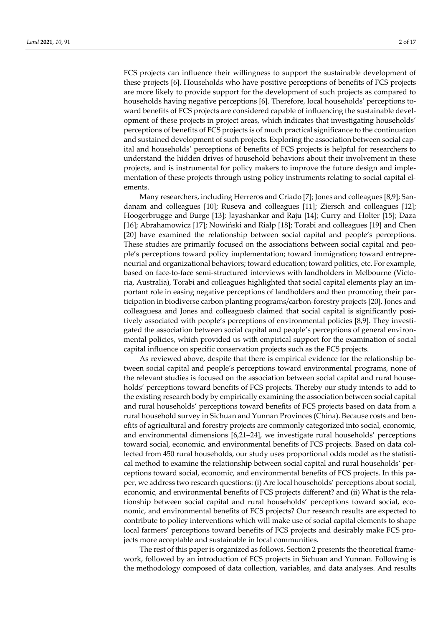FCS projects can influence their willingness to support the sustainable development of these projects [6]. Households who have positive perceptions of benefits of FCS projects are more likely to provide support for the development of such projects as compared to households having negative perceptions [6]. Therefore, local households' perceptions toward benefits of FCS projects are considered capable of influencing the sustainable development of these projects in project areas, which indicates that investigating households' perceptions of benefits of FCS projects is of much practical significance to the continuation and sustained development of such projects. Exploring the association between social capital and households' perceptions of benefits of FCS projects is helpful for researchers to understand the hidden drives of household behaviors about their involvement in these projects, and is instrumental for policy makers to improve the future design and implementation of these projects through using policy instruments relating to social capital elements.

Many researchers, including Herreros and Criado [7]; Jones and colleagues [8,9]; Sandanam and colleagues [10]; Ruseva and colleagues [11]; Ziersch and colleagues [12]; Hoogerbrugge and Burge [13]; Jayashankar and Raju [14]; Curry and Holter [15]; Daza [16]; Abrahamowicz [17]; Nowiński and Rialp [18]; Torabi and colleagues [19] and Chen [20] have examined the relationship between social capital and people's perceptions. These studies are primarily focused on the associations between social capital and people's perceptions toward policy implementation; toward immigration; toward entrepreneurial and organizational behaviors; toward education; toward politics, etc. For example, based on face-to-face semi-structured interviews with landholders in Melbourne (Victoria, Australia), Torabi and colleagues highlighted that social capital elements play an important role in easing negative perceptions of landholders and then promoting their participation in biodiverse carbon planting programs/carbon-forestry projects [20]. Jones and colleaguesa and Jones and colleaguesb claimed that social capital is significantly positively associated with people's perceptions of environmental policies [8,9]. They investigated the association between social capital and people's perceptions of general environmental policies, which provided us with empirical support for the examination of social capital influence on specific conservation projects such as the FCS projects.

As reviewed above, despite that there is empirical evidence for the relationship between social capital and people's perceptions toward environmental programs, none of the relevant studies is focused on the association between social capital and rural households' perceptions toward benefits of FCS projects. Thereby our study intends to add to the existing research body by empirically examining the association between social capital and rural households' perceptions toward benefits of FCS projects based on data from a rural household survey in Sichuan and Yunnan Provinces (China). Because costs and benefits of agricultural and forestry projects are commonly categorized into social, economic, and environmental dimensions [6,21–24], we investigate rural households' perceptions toward social, economic, and environmental benefits of FCS projects. Based on data collected from 450 rural households, our study uses proportional odds model as the statistical method to examine the relationship between social capital and rural households' perceptions toward social, economic, and environmental benefits of FCS projects. In this paper, we address two research questions: (i) Are local households' perceptions about social, economic, and environmental benefits of FCS projects different? and (ii) What is the relationship between social capital and rural households' perceptions toward social, economic, and environmental benefits of FCS projects? Our research results are expected to contribute to policy interventions which will make use of social capital elements to shape local farmers' perceptions toward benefits of FCS projects and desirably make FCS projects more acceptable and sustainable in local communities.

The rest of this paper is organized as follows. Section 2 presents the theoretical framework, followed by an introduction of FCS projects in Sichuan and Yunnan. Following is the methodology composed of data collection, variables, and data analyses. And results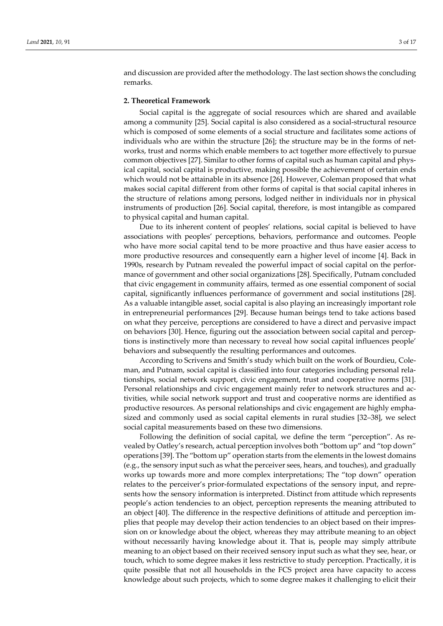and discussion are provided after the methodology. The last section shows the concluding remarks.

#### **2. Theoretical Framework**

Social capital is the aggregate of social resources which are shared and available among a community [25]. Social capital is also considered as a social-structural resource which is composed of some elements of a social structure and facilitates some actions of individuals who are within the structure [26]; the structure may be in the forms of networks, trust and norms which enable members to act together more effectively to pursue common objectives [27]. Similar to other forms of capital such as human capital and physical capital, social capital is productive, making possible the achievement of certain ends which would not be attainable in its absence [26]. However, Coleman proposed that what makes social capital different from other forms of capital is that social capital inheres in the structure of relations among persons, lodged neither in individuals nor in physical instruments of production [26]. Social capital, therefore, is most intangible as compared to physical capital and human capital.

Due to its inherent content of peoples' relations, social capital is believed to have associations with peoples' perceptions, behaviors, performance and outcomes. People who have more social capital tend to be more proactive and thus have easier access to more productive resources and consequently earn a higher level of income [4]. Back in 1990s, research by Putnam revealed the powerful impact of social capital on the performance of government and other social organizations [28]. Specifically, Putnam concluded that civic engagement in community affairs, termed as one essential component of social capital, significantly influences performance of government and social institutions [28]. As a valuable intangible asset, social capital is also playing an increasingly important role in entrepreneurial performances [29]. Because human beings tend to take actions based on what they perceive, perceptions are considered to have a direct and pervasive impact on behaviors [30]. Hence, figuring out the association between social capital and perceptions is instinctively more than necessary to reveal how social capital influences people' behaviors and subsequently the resulting performances and outcomes.

According to Scrivens and Smith's study which built on the work of Bourdieu, Coleman, and Putnam, social capital is classified into four categories including personal relationships, social network support, civic engagement, trust and cooperative norms [31]. Personal relationships and civic engagement mainly refer to network structures and activities, while social network support and trust and cooperative norms are identified as productive resources. As personal relationships and civic engagement are highly emphasized and commonly used as social capital elements in rural studies [32–38], we select social capital measurements based on these two dimensions.

Following the definition of social capital, we define the term "perception". As revealed by Oatley's research, actual perception involves both "bottom up" and "top down" operations [39]. The "bottom up" operation starts from the elements in the lowest domains (e.g., the sensory input such as what the perceiver sees, hears, and touches), and gradually works up towards more and more complex interpretations; The "top down" operation relates to the perceiver's prior-formulated expectations of the sensory input, and represents how the sensory information is interpreted. Distinct from attitude which represents people's action tendencies to an object, perception represents the meaning attributed to an object [40]. The difference in the respective definitions of attitude and perception implies that people may develop their action tendencies to an object based on their impression on or knowledge about the object, whereas they may attribute meaning to an object without necessarily having knowledge about it. That is, people may simply attribute meaning to an object based on their received sensory input such as what they see, hear, or touch, which to some degree makes it less restrictive to study perception. Practically, it is quite possible that not all households in the FCS project area have capacity to access knowledge about such projects, which to some degree makes it challenging to elicit their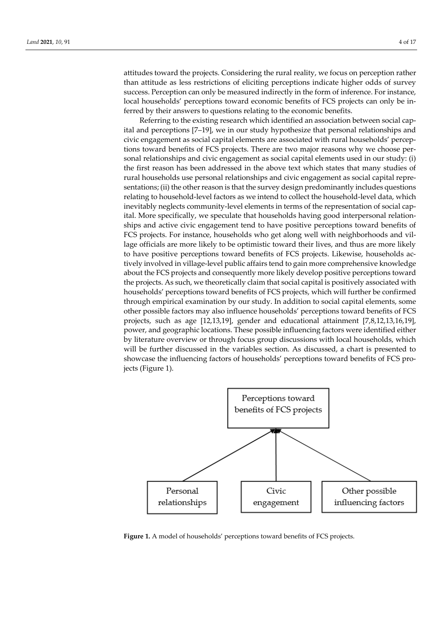attitudes toward the projects. Considering the rural reality, we focus on perception rather than attitude as less restrictions of eliciting perceptions indicate higher odds of survey success. Perception can only be measured indirectly in the form of inference. For instance, local households' perceptions toward economic benefits of FCS projects can only be inferred by their answers to questions relating to the economic benefits.

Referring to the existing research which identified an association between social capital and perceptions [7–19], we in our study hypothesize that personal relationships and civic engagement as social capital elements are associated with rural households' perceptions toward benefits of FCS projects. There are two major reasons why we choose personal relationships and civic engagement as social capital elements used in our study: (i) the first reason has been addressed in the above text which states that many studies of rural households use personal relationships and civic engagement as social capital representations; (ii) the other reason is that the survey design predominantly includes questions relating to household-level factors as we intend to collect the household-level data, which inevitably neglects community-level elements in terms of the representation of social capital. More specifically, we speculate that households having good interpersonal relationships and active civic engagement tend to have positive perceptions toward benefits of FCS projects. For instance, households who get along well with neighborhoods and village officials are more likely to be optimistic toward their lives, and thus are more likely to have positive perceptions toward benefits of FCS projects. Likewise, households actively involved in village-level public affairs tend to gain more comprehensive knowledge about the FCS projects and consequently more likely develop positive perceptions toward the projects. As such, we theoretically claim that social capital is positively associated with households' perceptions toward benefits of FCS projects, which will further be confirmed through empirical examination by our study. In addition to social capital elements, some other possible factors may also influence households' perceptions toward benefits of FCS projects, such as age [12,13,19], gender and educational attainment [7,8,12,13,16,19], power, and geographic locations. These possible influencing factors were identified either by literature overview or through focus group discussions with local households, which will be further discussed in the variables section. As discussed, a chart is presented to showcase the influencing factors of households' perceptions toward benefits of FCS projects (Figure 1).



Figure 1. A model of households' perceptions toward benefits of FCS projects.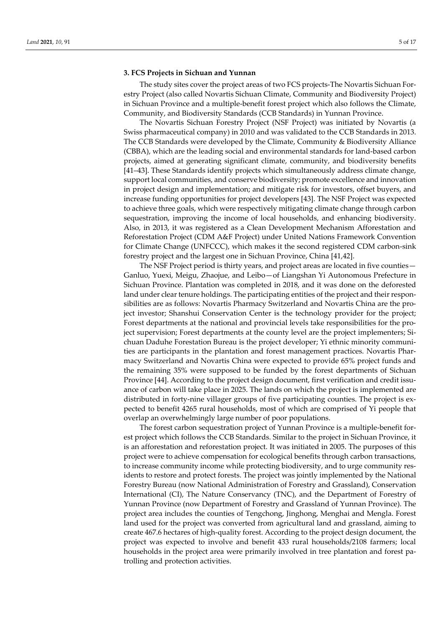#### **3. FCS Projects in Sichuan and Yunnan**

The study sites cover the project areas of two FCS projects-The Novartis Sichuan Forestry Project (also called Novartis Sichuan Climate, Community and Biodiversity Project) in Sichuan Province and a multiple-benefit forest project which also follows the Climate, Community, and Biodiversity Standards (CCB Standards) in Yunnan Province.

The Novartis Sichuan Forestry Project (NSF Project) was initiated by Novartis (a Swiss pharmaceutical company) in 2010 and was validated to the CCB Standards in 2013. The CCB Standards were developed by the Climate, Community & Biodiversity Alliance (CBBA), which are the leading social and environmental standards for land-based carbon projects, aimed at generating significant climate, community, and biodiversity benefits [41–43]. These Standards identify projects which simultaneously address climate change, support local communities, and conserve biodiversity; promote excellence and innovation in project design and implementation; and mitigate risk for investors, offset buyers, and increase funding opportunities for project developers [43]. The NSF Project was expected to achieve three goals, which were respectively mitigating climate change through carbon sequestration, improving the income of local households, and enhancing biodiversity. Also, in 2013, it was registered as a Clean Development Mechanism Afforestation and Reforestation Project (CDM A&F Project) under United Nations Framework Convention for Climate Change (UNFCCC), which makes it the second registered CDM carbon-sink forestry project and the largest one in Sichuan Province, China [41,42].

The NSF Project period is thirty years, and project areas are located in five counties— Ganluo, Yuexi, Meigu, Zhaojue, and Leibo—of Liangshan Yi Autonomous Prefecture in Sichuan Province. Plantation was completed in 2018, and it was done on the deforested land under clear tenure holdings. The participating entities of the project and their responsibilities are as follows: Novartis Pharmacy Switzerland and Novartis China are the project investor; Shanshui Conservation Center is the technology provider for the project; Forest departments at the national and provincial levels take responsibilities for the project supervision; Forest departments at the county level are the project implementers; Sichuan Daduhe Forestation Bureau is the project developer; Yi ethnic minority communities are participants in the plantation and forest management practices. Novartis Pharmacy Switzerland and Novartis China were expected to provide 65% project funds and the remaining 35% were supposed to be funded by the forest departments of Sichuan Province [44]. According to the project design document, first verification and credit issuance of carbon will take place in 2025. The lands on which the project is implemented are distributed in forty-nine villager groups of five participating counties. The project is expected to benefit 4265 rural households, most of which are comprised of Yi people that overlap an overwhelmingly large number of poor populations.

The forest carbon sequestration project of Yunnan Province is a multiple-benefit forest project which follows the CCB Standards. Similar to the project in Sichuan Province, it is an afforestation and reforestation project. It was initiated in 2005. The purposes of this project were to achieve compensation for ecological benefits through carbon transactions, to increase community income while protecting biodiversity, and to urge community residents to restore and protect forests. The project was jointly implemented by the National Forestry Bureau (now National Administration of Forestry and Grassland), Conservation International (CI), The Nature Conservancy (TNC), and the Department of Forestry of Yunnan Province (now Department of Forestry and Grassland of Yunnan Province). The project area includes the counties of Tengchong, Jinghong, Menghai and Mengla. Forest land used for the project was converted from agricultural land and grassland, aiming to create 467.6 hectares of high-quality forest. According to the project design document, the project was expected to involve and benefit 433 rural households/2108 farmers; local households in the project area were primarily involved in tree plantation and forest patrolling and protection activities.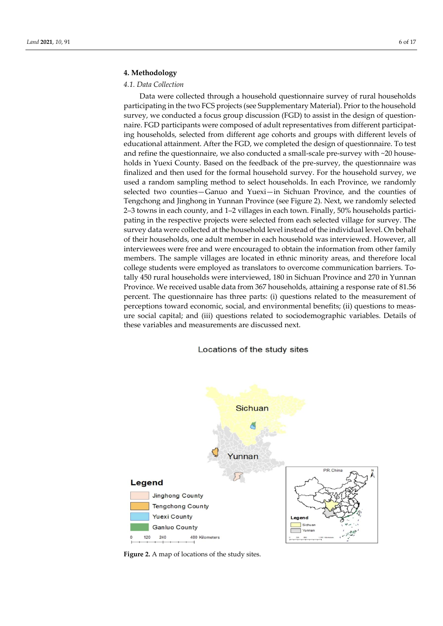# **4. Methodology**

# *4.1. Data Collection*

Data were collected through a household questionnaire survey of rural households participating in the two FCS projects (see Supplementary Material). Prior to the household survey, we conducted a focus group discussion (FGD) to assist in the design of questionnaire. FGD participants were composed of adult representatives from different participating households, selected from different age cohorts and groups with different levels of educational attainment. After the FGD, we completed the design of questionnaire. To test and refine the questionnaire, we also conducted a small-scale pre-survey with ~20 households in Yuexi County. Based on the feedback of the pre-survey, the questionnaire was finalized and then used for the formal household survey. For the household survey, we used a random sampling method to select households. In each Province, we randomly selected two counties—Ganuo and Yuexi—in Sichuan Province, and the counties of Tengchong and Jinghong in Yunnan Province (see Figure 2). Next, we randomly selected 2–3 towns in each county, and 1–2 villages in each town. Finally, 50% households participating in the respective projects were selected from each selected village for survey. The survey data were collected at the household level instead of the individual level. On behalf of their households, one adult member in each household was interviewed. However, all interviewees were free and were encouraged to obtain the information from other family members. The sample villages are located in ethnic minority areas, and therefore local college students were employed as translators to overcome communication barriers. Totally 450 rural households were interviewed, 180 in Sichuan Province and 270 in Yunnan Province. We received usable data from 367 households, attaining a response rate of 81.56 percent. The questionnaire has three parts: (i) questions related to the measurement of perceptions toward economic, social, and environmental benefits; (ii) questions to measure social capital; and (iii) questions related to sociodemographic variables. Details of these variables and measurements are discussed next.

## Locations of the study sites



**Figure 2.** A map of locations of the study sites.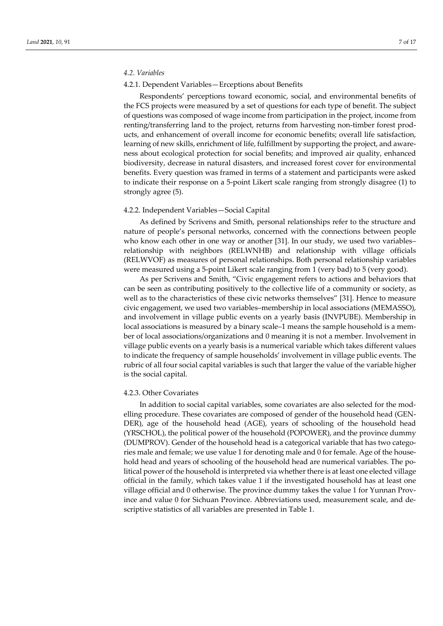#### *4.2. Variables*

#### 4.2.1. Dependent Variables—Erceptions about Benefits

Respondents' perceptions toward economic, social, and environmental benefits of the FCS projects were measured by a set of questions for each type of benefit. The subject of questions was composed of wage income from participation in the project, income from renting/transferring land to the project, returns from harvesting non-timber forest products, and enhancement of overall income for economic benefits; overall life satisfaction, learning of new skills, enrichment of life, fulfillment by supporting the project, and awareness about ecological protection for social benefits; and improved air quality, enhanced biodiversity, decrease in natural disasters, and increased forest cover for environmental benefits. Every question was framed in terms of a statement and participants were asked to indicate their response on a 5-point Likert scale ranging from strongly disagree (1) to strongly agree (5).

# 4.2.2. Independent Variables—Social Capital

As defined by Scrivens and Smith, personal relationships refer to the structure and nature of people's personal networks, concerned with the connections between people who know each other in one way or another [31]. In our study, we used two variables– relationship with neighbors (RELWNHB) and relationship with village officials (RELWVOF) as measures of personal relationships. Both personal relationship variables were measured using a 5-point Likert scale ranging from 1 (very bad) to 5 (very good).

As per Scrivens and Smith, "Civic engagement refers to actions and behaviors that can be seen as contributing positively to the collective life of a community or society, as well as to the characteristics of these civic networks themselves" [31]. Hence to measure civic engagement, we used two variables–membership in local associations (MEMASSO), and involvement in village public events on a yearly basis (INVPUBE). Membership in local associations is measured by a binary scale–1 means the sample household is a member of local associations/organizations and 0 meaning it is not a member. Involvement in village public events on a yearly basis is a numerical variable which takes different values to indicate the frequency of sample households' involvement in village public events. The rubric of all four social capital variables is such that larger the value of the variable higher is the social capital.

### 4.2.3. Other Covariates

In addition to social capital variables, some covariates are also selected for the modelling procedure. These covariates are composed of gender of the household head (GEN-DER), age of the household head (AGE), years of schooling of the household head (YRSCHOL), the political power of the household (POPOWER), and the province dummy (DUMPROV). Gender of the household head is a categorical variable that has two categories male and female; we use value 1 for denoting male and 0 for female. Age of the household head and years of schooling of the household head are numerical variables. The political power of the household is interpreted via whether there is at least one elected village official in the family, which takes value 1 if the investigated household has at least one village official and 0 otherwise. The province dummy takes the value 1 for Yunnan Province and value 0 for Sichuan Province. Abbreviations used, measurement scale, and descriptive statistics of all variables are presented in Table 1.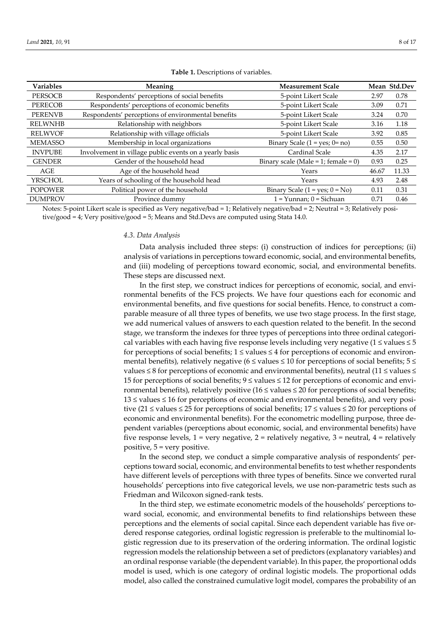| <b>Variables</b> | Meaning                                                | <b>Measurement Scale</b>            |       | Mean Std.Dev |
|------------------|--------------------------------------------------------|-------------------------------------|-------|--------------|
| PERSOCB          | Respondents' perceptions of social benefits            | 5-point Likert Scale                | 2.97  | 0.78         |
| PERECOB          | Respondents' perceptions of economic benefits          | 5-point Likert Scale                | 3.09  | 0.71         |
| <b>PERENVB</b>   | Respondents' perceptions of environmental benefits     | 5-point Likert Scale                | 3.24  | 0.70         |
| <b>RELWNHB</b>   | Relationship with neighbors                            | 5-point Likert Scale                | 3.16  | 1.18         |
| <b>RELWVOF</b>   | Relationship with village officials                    | 5-point Likert Scale                | 3.92  | 0.85         |
| <b>MEMASSO</b>   | Membership in local organizations                      | Binary Scale $(1 = yes; 0 = no)$    | 0.55  | 0.50         |
| <b>INVPUBE</b>   | Involvement in village public events on a yearly basis | Cardinal Scale                      | 4.35  | 2.17         |
| <b>GENDER</b>    | Gender of the household head                           | Binary scale (Male = 1; female = 0) | 0.93  | 0.25         |
| AGE              | Age of the household head                              | Years                               | 46.67 | 11.33        |
| <b>YRSCHOL</b>   | Years of schooling of the household head               | Years                               | 4.93  | 2.48         |
| <b>POPOWER</b>   | Political power of the household                       | Binary Scale $(1 = yes; 0 = No)$    | 0.11  | 0.31         |
| <b>DUMPROV</b>   | Province dummy                                         | $1 =$ Yunnan; $0 =$ Sichuan         | 0.71  | 0.46         |

Notes: 5-point Likert scale is specified as Very negative/bad = 1; Relatively negative/bad = 2; Neutral = 3; Relatively positive/good = 4; Very positive/good = 5; Means and Std.Devs are computed using Stata 14.0.

#### *4.3. Data Analysis*

Data analysis included three steps: (i) construction of indices for perceptions; (ii) analysis of variations in perceptions toward economic, social, and environmental benefits, and (iii) modeling of perceptions toward economic, social, and environmental benefits. These steps are discussed next.

In the first step, we construct indices for perceptions of economic, social, and environmental benefits of the FCS projects. We have four questions each for economic and environmental benefits, and five questions for social benefits. Hence, to construct a comparable measure of all three types of benefits, we use two stage process. In the first stage, we add numerical values of answers to each question related to the benefit. In the second stage, we transform the indexes for three types of perceptions into three ordinal categorical variables with each having five response levels including very negative ( $1 \leq$  values  $\leq 5$ for perceptions of social benefits;  $1 \leq$  values  $\leq 4$  for perceptions of economic and environmental benefits), relatively negative (6  $\le$  values  $\le$  10 for perceptions of social benefits; 5  $\le$ values  $\leq 8$  for perceptions of economic and environmental benefits), neutral (11  $\leq$  values  $\leq$ 15 for perceptions of social benefits;  $9 \le$  values  $\le$  12 for perceptions of economic and environmental benefits), relatively positive (16  $\le$  values  $\le$  20 for perceptions of social benefits; 13 ≤ values ≤ 16 for perceptions of economic and environmental benefits), and very positive (21 ≤ values ≤ 25 for perceptions of social benefits; 17 ≤ values ≤ 20 for perceptions of economic and environmental benefits). For the econometric modelling purpose, three dependent variables (perceptions about economic, social, and environmental benefits) have five response levels,  $1 = \text{very negative}, 2 = \text{relatively negative}, 3 = \text{neutral}, 4 = \text{relatively}$ positive, 5 = very positive.

In the second step, we conduct a simple comparative analysis of respondents' perceptions toward social, economic, and environmental benefits to test whether respondents have different levels of perceptions with three types of benefits. Since we converted rural households' perceptions into five categorical levels, we use non-parametric tests such as Friedman and Wilcoxon signed-rank tests.

In the third step, we estimate econometric models of the households' perceptions toward social, economic, and environmental benefits to find relationships between these perceptions and the elements of social capital. Since each dependent variable has five ordered response categories, ordinal logistic regression is preferable to the multinomial logistic regression due to its preservation of the ordering information. The ordinal logistic regression models the relationship between a set of predictors (explanatory variables) and an ordinal response variable (the dependent variable). In this paper, the proportional odds model is used, which is one category of ordinal logistic models. The proportional odds model, also called the constrained cumulative logit model, compares the probability of an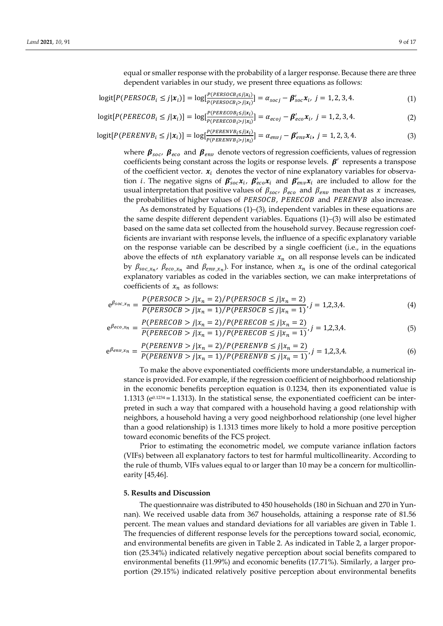equal or smaller response with the probability of a larger response. Because there are three dependent variables in our study, we present three equations as follows:

$$
logit[P(PERSOCBi \leq j | \mathbf{x}_i)] = log[\frac{P(PERSOCBi \leq j | \mathbf{x}_i)}{P(PERSOCBi > j | \mathbf{x}_i)}] = \alpha_{socj} - \beta'_{soc} \mathbf{x}_i, j = 1, 2, 3, 4.
$$
 (1)

$$
logit[P(PERECOBi \leq j | \mathbf{x}_i)] = log[\frac{P(PERECOBi \leq j | \mathbf{x}_i)}{P(PERECOBi \geq j | \mathbf{x}_i)}] = \alpha_{ecoj} - \beta'_{eco} \mathbf{x}_i, j = 1, 2, 3, 4.
$$
 (2)

$$
logit[P(PERENVBi \le j | \mathbf{x}_i)] = log[\frac{P(PERENVBi \le j | \mathbf{x}_i)}{P(PERENVBi > j | \mathbf{x}_i)}] = \alpha_{envj} - \beta'_{env} \mathbf{x}_i, j = 1, 2, 3, 4.
$$
\n(3)

where  $\beta_{soc}$ ,  $\beta_{eco}$  and  $\beta_{env}$  denote vectors of regression coefficients, values of regression coefficients being constant across the logits or response levels.  $\beta'$  represents a transpose of the coefficient vector.  $x_i$  denotes the vector of nine explanatory variables for observation *i*. The negative signs of  $\beta'_{soc}x_i$ ,  $\beta'_{eco}x_i$  and  $\beta'_{env}x_i$  are included to allow for the usual interpretation that positive values of  $\beta_{soc}$ ,  $\beta_{eco}$  and  $\beta_{env}$  mean that as x increases, the probabilities of higher values of PERSOCB, PERECOB and PERENVB also increase.

As demonstrated by Equations  $(1)$ – $(3)$ , independent variables in these equations are the same despite different dependent variables. Equations (1)–(3) will also be estimated based on the same data set collected from the household survey. Because regression coefficients are invariant with response levels, the influence of a specific explanatory variable on the response variable can be described by a single coefficient (i.e., in the equations above the effects of *nth* explanatory variable  $x_n$  on all response levels can be indicated by  $\beta_{soc\_x_n}$ ,  $\beta_{eco\_x_n}$  and  $\beta_{env\_x_n}$ ). For instance, when  $x_n$  is one of the ordinal categorical explanatory variables as coded in the variables section, we can make interpretations of coefficients of  $x_n$  as follows:

$$
e^{\beta_{soc}x_n} = \frac{P(PERSOCB > j|x_n = 2)/P(PERSOCB \le j|x_n = 2)}{P(PERSOCB > j|x_n = 1)/P(PERSOCB \le j|x_n = 1)}, j = 1,2,3,4.
$$
 (4)

$$
e^{\beta_{eco,x_n}} = \frac{P(PERECOB > j | x_n = 2) / P(PERECOB \le j | x_n = 2)}{P(PERECOB > j | x_n = 1) / P(PERECOB \le j | x_n = 1)}, j = 1,2,3,4.
$$
\n(5)

$$
e^{\beta_{env,x_n}} = \frac{P(PERENVB > j | x_n = 2) / P(PERENVB \le j | x_n = 2)}{P(PERENVB > j | x_n = 1) / P(PERENVB \le j | x_n = 1)}, j = 1,2,3,4.
$$
\n(6)

To make the above exponentiated coefficients more understandable, a numerical instance is provided. For example, if the regression coefficient of neighborhood relationship in the economic benefits perception equation is 0.1234, then its exponentiated value is 1.1313 ( $e^{0.1234}$  = 1.1313). In the statistical sense, the exponentiated coefficient can be interpreted in such a way that compared with a household having a good relationship with neighbors, a household having a very good neighborhood relationship (one level higher than a good relationship) is 1.1313 times more likely to hold a more positive perception toward economic benefits of the FCS project.

Prior to estimating the econometric model, we compute variance inflation factors (VIFs) between all explanatory factors to test for harmful multicollinearity. According to the rule of thumb, VIFs values equal to or larger than 10 may be a concern for multicollinearity [45,46].

#### **5. Results and Discussion**

The questionnaire was distributed to 450 households (180 in Sichuan and 270 in Yunnan). We received usable data from 367 households, attaining a response rate of 81.56 percent. The mean values and standard deviations for all variables are given in Table 1. The frequencies of different response levels for the perceptions toward social, economic, and environmental benefits are given in Table 2. As indicated in Table 2, a larger proportion (25.34%) indicated relatively negative perception about social benefits compared to environmental benefits (11.99%) and economic benefits (17.71%). Similarly, a larger proportion (29.15%) indicated relatively positive perception about environmental benefits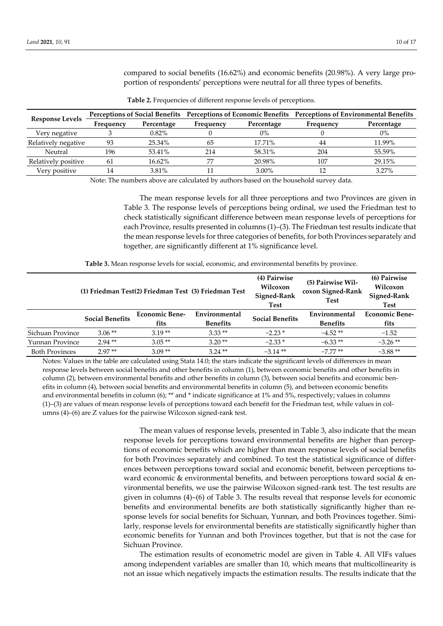compared to social benefits (16.62%) and economic benefits (20.98%). A very large proportion of respondents' perceptions were neutral for all three types of benefits.

| <b>Response Levels</b> |           |            |           |            | Perceptions of Social Benefits Perceptions of Economic Benefits Perceptions of Environmental Benefits |            |  |
|------------------------|-----------|------------|-----------|------------|-------------------------------------------------------------------------------------------------------|------------|--|
|                        | Frequency | Percentage | Frequency | Percentage | Frequency                                                                                             | Percentage |  |
| Very negative          |           | $0.82\%$   |           | $0\%$      |                                                                                                       | $0\%$      |  |
| Relatively negative    | 93        | 25.34%     | 65        | 17.71%     | 44                                                                                                    | 11.99%     |  |
| Neutral                | 196       | 53.41%     | 214       | 58.31%     | 204                                                                                                   | 55.59%     |  |
| Relatively positive    | 61        | $16.62\%$  | 55        | 20.98%     | 107                                                                                                   | 29.15%     |  |
| Very positive          | 14        | 3.81%      |           | $3.00\%$   |                                                                                                       | 3.27%      |  |

**Table 2.** Frequencies of different response levels of perceptions.

Note: The numbers above are calculated by authors based on the household survey data.

The mean response levels for all three perceptions and two Provinces are given in Table 3. The response levels of perceptions being ordinal, we used the Friedman test to check statistically significant difference between mean response levels of perceptions for each Province, results presented in columns (1)–(3). The Friedman test results indicate that the mean response levels for three categories of benefits, for both Provinces separately and together, are significantly different at 1% significance level.

| Table 3. Mean response levels for social, economic, and environmental benefits by province. |  |  |  |
|---------------------------------------------------------------------------------------------|--|--|--|
|                                                                                             |  |  |  |

|                       |                        | (1) Friedman Test(2) Friedman Test (3) Friedman Test |                                  | (4) Pairwise<br>Wilcoxon<br>Signed-Rank<br><b>Test</b> | (5) Pairwise Wil-<br>coxon Signed-Rank<br><b>Test</b> | (6) Pairwise<br>Wilcoxon<br>Signed-Rank<br><b>Test</b> |
|-----------------------|------------------------|------------------------------------------------------|----------------------------------|--------------------------------------------------------|-------------------------------------------------------|--------------------------------------------------------|
|                       | <b>Social Benefits</b> | <b>Economic Bene-</b><br>fits                        | Environmental<br><b>Benefits</b> | <b>Social Benefits</b>                                 | Environmental<br><b>Benefits</b>                      | <b>Economic Bene-</b><br>fits                          |
| Sichuan Province      | $3.06**$               | $3.19**$                                             | $3.33**$                         | $-2.23*$                                               | $-4.52**$                                             | $-1.52$                                                |
| Yunnan Province       | $2.94**$               | $3.05**$                                             | $3.20**$                         | $-2.33*$                                               | $-6.33**$                                             | $-3.26**$                                              |
| <b>Both Provinces</b> | $297**$                | $3.09**$                                             | $3.24**$                         | $-3.14**$                                              | $-7.77**$                                             | $-3.88**$                                              |

Notes: Values in the table are calculated using Stata 14.0; the stars indicate the significant levels of differences in mean response levels between social benefits and other benefits in column (1), between economic benefits and other benefits in column (2), between environmental benefits and other benefits in column (3), between social benefits and economic benefits in column (4), between social benefits and environmental benefits in column (5), and between economic benefits and environmental benefits in column (6); \*\* and \* indicate significance at 1% and 5%, respectively; values in columns (1)–(3) are values of mean response levels of perceptions toward each benefit for the Friedman test, while values in columns (4)–(6) are Z values for the pairwise Wilcoxon signed-rank test.

> The mean values of response levels, presented in Table 3, also indicate that the mean response levels for perceptions toward environmental benefits are higher than perceptions of economic benefits which are higher than mean response levels of social benefits for both Provinces separately and combined. To test the statistical significance of differences between perceptions toward social and economic benefit, between perceptions toward economic & environmental benefits, and between perceptions toward social & environmental benefits, we use the pairwise Wilcoxon signed-rank test. The test results are given in columns (4)–(6) of Table 3. The results reveal that response levels for economic benefits and environmental benefits are both statistically significantly higher than response levels for social benefits for Sichuan, Yunnan, and both Provinces together. Similarly, response levels for environmental benefits are statistically significantly higher than economic benefits for Yunnan and both Provinces together, but that is not the case for Sichuan Province.

> The estimation results of econometric model are given in Table 4. All VIFs values among independent variables are smaller than 10, which means that multicollinearity is not an issue which negatively impacts the estimation results. The results indicate that the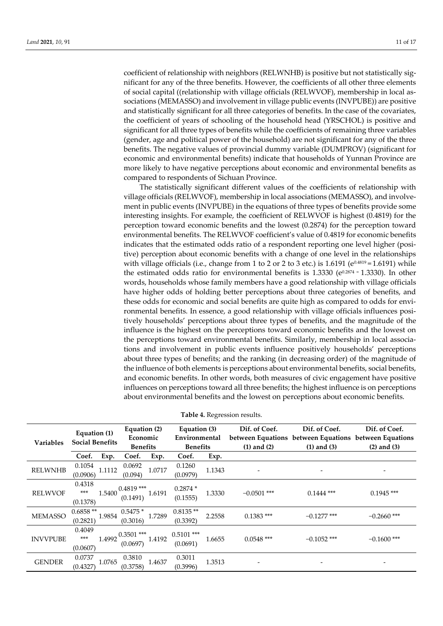coefficient of relationship with neighbors (RELWNHB) is positive but not statistically significant for any of the three benefits. However, the coefficients of all other three elements of social capital ((relationship with village officials (RELWVOF), membership in local associations (MEMASSO) and involvement in village public events (INVPUBE)) are positive and statistically significant for all three categories of benefits. In the case of the covariates, the coefficient of years of schooling of the household head (YRSCHOL) is positive and significant for all three types of benefits while the coefficients of remaining three variables (gender, age and political power of the household) are not significant for any of the three benefits. The negative values of provincial dummy variable (DUMPROV) (significant for economic and environmental benefits) indicate that households of Yunnan Province are more likely to have negative perceptions about economic and environmental benefits as compared to respondents of Sichuan Province.

The statistically significant different values of the coefficients of relationship with village officials (RELWVOF), membership in local associations (MEMASSO), and involvement in public events (INVPUBE) in the equations of three types of benefits provide some interesting insights. For example, the coefficient of RELWVOF is highest (0.4819) for the perception toward economic benefits and the lowest (0.2874) for the perception toward environmental benefits. The RELWVOF coefficient's value of 0.4819 for economic benefits indicates that the estimated odds ratio of a respondent reporting one level higher (positive) perception about economic benefits with a change of one level in the relationships with village officials (i.e., change from 1 to 2 or 2 to 3 etc.) is  $1.6191$  ( $e^{0.4819}$  =  $1.6191$ ) while the estimated odds ratio for environmental benefits is 1.3330 ( $e^{0.2874}$  = 1.3330). In other words, households whose family members have a good relationship with village officials have higher odds of holding better perceptions about three categories of benefits, and these odds for economic and social benefits are quite high as compared to odds for environmental benefits. In essence, a good relationship with village officials influences positively households' perceptions about three types of benefits, and the magnitude of the influence is the highest on the perceptions toward economic benefits and the lowest on the perceptions toward environmental benefits. Similarly, membership in local associations and involvement in public events influence positively households' perceptions about three types of benefits; and the ranking (in decreasing order) of the magnitude of the influence of both elements is perceptions about environmental benefits, social benefits, and economic benefits. In other words, both measures of civic engagement have positive influences on perceptions toward all three benefits; the highest influence is on perceptions about environmental benefits and the lowest on perceptions about economic benefits.

|                  |            |                                        | Equation (2)            |          | Equation (3)    |               | Dif. of Coef.<br>Dif. of Coef. |                                                       | Dif. of Coef.   |
|------------------|------------|----------------------------------------|-------------------------|----------|-----------------|---------------|--------------------------------|-------------------------------------------------------|-----------------|
| <b>Variables</b> |            | Equation (1)<br><b>Social Benefits</b> |                         | Economic |                 | Environmental |                                | between Equations between Equations between Equations |                 |
|                  |            |                                        | <b>Benefits</b>         |          | <b>Benefits</b> |               | $(1)$ and $(2)$                | $(1)$ and $(3)$                                       | $(2)$ and $(3)$ |
|                  | Coef.      | Exp.                                   | Coef.                   | Exp.     | Coef.           | Exp.          |                                |                                                       |                 |
| <b>RELWNHB</b>   | 0.1054     | 1.1112                                 | 0.0692                  | 1.0717   | 0.1260          | 1.1343        |                                |                                                       |                 |
|                  | (0.0906)   |                                        | (0.094)                 |          | (0.0979)        |               |                                |                                                       |                 |
|                  | 0.4318     |                                        |                         |          |                 |               |                                |                                                       |                 |
| <b>RELWVOF</b>   | $***$      | 1.5400                                 | $0.4819***$<br>(0.1491) | 1.6191   | $0.2874*$       | 1.3330        | $-0.0501$ ***                  | $0.1444$ ***                                          | $0.1945$ ***    |
|                  | (0.1378)   |                                        |                         |          | (0.1555)        |               |                                |                                                       |                 |
| <b>MEMASSO</b>   | $0.6858**$ |                                        | $0.5475*$               |          | $0.8135**$      | 2.2558        | $0.1383$ ***                   | $-0.1277$ ***                                         | $-0.2660$ ***   |
|                  | (0.2821)   | 1.9854                                 | (0.3016)                | 1.7289   | (0.3392)        |               |                                |                                                       |                 |
|                  | 0.4049     |                                        | $0.3501$ ***            |          | $0.5101$ ***    |               |                                |                                                       |                 |
| <b>INVVPUBE</b>  | $***$      | 1.4992                                 | (0.0697)                | 1.4192   |                 | 1.6655        | $0.0548$ ***                   | $-0.1052$ ***                                         | $-0.1600$ ***   |
|                  | (0.0607)   |                                        |                         |          | (0.0691)        |               |                                |                                                       |                 |
|                  | 0.0737     |                                        | 0.3810                  |          | 0.3011          |               |                                |                                                       |                 |
| <b>GENDER</b>    | (0.4327)   | 1.0765                                 | (0.3758)                | 1.4637   | (0.3996)        | 1.3513        |                                |                                                       |                 |

**Table 4.** Regression results.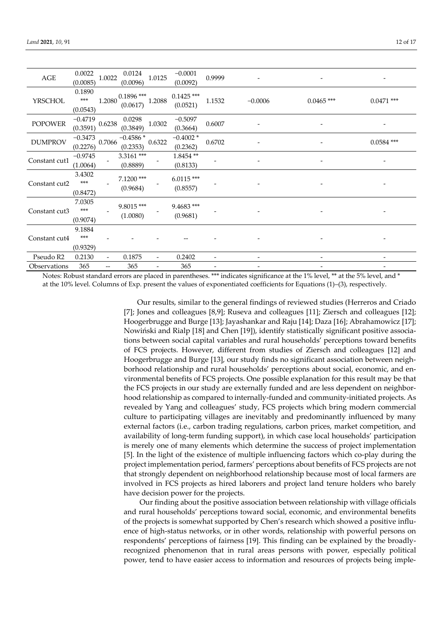YRSCHOL

AGE 0.0022

0.1890 \*\*\*  $(0.0543)$ 

 $(0.0022 \atop (0.0085) 1.0022 \atop (0.0096)$ 

| 1.0022 | 0.0124<br>(0.0096)                   | 1.0125 | $-0.0001$<br>(0.0092)                                                                                 | 0.9999 |           |              |              |
|--------|--------------------------------------|--------|-------------------------------------------------------------------------------------------------------|--------|-----------|--------------|--------------|
|        |                                      |        | $1.2080 \frac{0.1896 \times 1000 \times 10000}{(0.0617)} 1.2088 \frac{0.1425 \times 10000}{(0.0521)}$ | 1.1532 | $-0.0006$ | $0.0465$ *** | $0.0471$ *** |
|        | 0.0298<br>$0.6238$ $0.0250$ $1.0302$ |        | $-0.5097$                                                                                             | 0.6007 |           |              |              |

|                | $\sqrt{2}$                  |                          |                        |                          |                          |                          |                          |                   |                   |
|----------------|-----------------------------|--------------------------|------------------------|--------------------------|--------------------------|--------------------------|--------------------------|-------------------|-------------------|
| <b>POPOWER</b> | $-0.4719$<br>(0.3591)       | 0.6238                   | 0.0298<br>(0.3849)     | 1.0302                   | $-0.5097$<br>(0.3664)    | 0.6007                   | $\overline{\phantom{a}}$ | $\qquad \qquad -$ | $\qquad \qquad -$ |
| <b>DUMPROV</b> | $-0.3473$<br>(0.2276)       | 0.7066                   | $-0.4586*$<br>(0.2353) | 0.6322                   | $-0.4002*$<br>(0.2362)   | 0.6702                   | $\overline{\phantom{a}}$ | $\qquad \qquad -$ | $0.0584$ ***      |
| Constant cut1  | $-0.9745$<br>(1.0064)       |                          | 3.3161***<br>(0.8889)  |                          | 1.8454**<br>(0.8133)     |                          | $\overline{\phantom{a}}$ | $\qquad \qquad -$ | $\qquad \qquad -$ |
| Constant cut2  | 3.4302<br>$***$<br>(0.8472) |                          | 7.1200 ***<br>(0.9684) |                          | $6.0115***$<br>(0.8557)  |                          |                          |                   |                   |
| Constant cut3  | 7.0305<br>$***$<br>(0.9074) |                          | 9.8015 ***<br>(1.0080) |                          | $9.4683$ ***<br>(0.9681) |                          |                          |                   |                   |
| Constant cut4  | 9.1884<br>$***$<br>(0.9329) |                          |                        |                          |                          |                          |                          |                   |                   |
| Pseudo R2      | 0.2130                      | $\overline{\phantom{a}}$ | 0.1875                 | $\overline{\phantom{a}}$ | 0.2402                   | $\overline{\phantom{0}}$ | -                        | $\overline{a}$    | $\qquad \qquad$   |
| Observations   | 365                         | --                       | 365                    |                          | 365                      |                          |                          |                   |                   |

Notes: Robust standard errors are placed in parentheses. \*\*\* indicates significance at the 1% level, \*\* at the 5% level, and \* at the 10% level. Columns of Exp. present the values of exponentiated coefficients for Equations (1)–(3), respectively.

> Our results, similar to the general findings of reviewed studies (Herreros and Criado [7]; Jones and colleagues [8,9]; Ruseva and colleagues [11]; Ziersch and colleagues [12]; Hoogerbrugge and Burge [13]; Jayashankar and Raju [14]; Daza [16]; Abrahamowicz [17]; Nowiński and Rialp [18] and Chen [19]), identify statistically significant positive associations between social capital variables and rural households' perceptions toward benefits of FCS projects. However, different from studies of Ziersch and colleagues [12] and Hoogerbrugge and Burge [13], our study finds no significant association between neighborhood relationship and rural households' perceptions about social, economic, and environmental benefits of FCS projects. One possible explanation for this result may be that the FCS projects in our study are externally funded and are less dependent on neighborhood relationship as compared to internally-funded and community-initiated projects. As revealed by Yang and colleagues' study, FCS projects which bring modern commercial culture to participating villages are inevitably and predominantly influenced by many external factors (i.e., carbon trading regulations, carbon prices, market competition, and availability of long-term funding support), in which case local households' participation is merely one of many elements which determine the success of project implementation [5]. In the light of the existence of multiple influencing factors which co-play during the project implementation period, farmers' perceptions about benefits of FCS projects are not that strongly dependent on neighborhood relationship because most of local farmers are involved in FCS projects as hired laborers and project land tenure holders who barely have decision power for the projects.

> Our finding about the positive association between relationship with village officials and rural households' perceptions toward social, economic, and environmental benefits of the projects is somewhat supported by Chen's research which showed a positive influence of high-status networks, or in other words, relationship with powerful persons on respondents' perceptions of fairness [19]. This finding can be explained by the broadlyrecognized phenomenon that in rural areas persons with power, especially political power, tend to have easier access to information and resources of projects being imple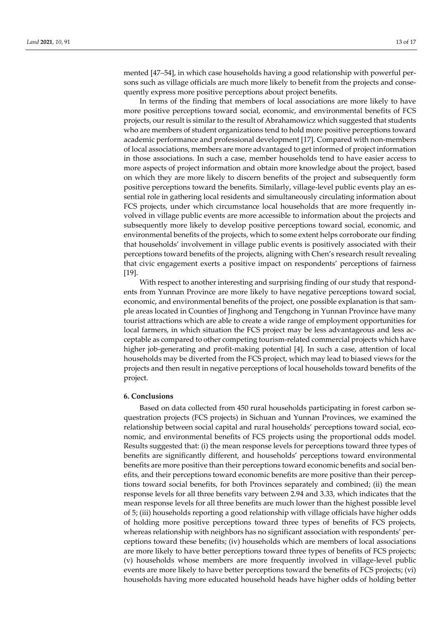mented [47–54], in which case households having a good relationship with powerful persons such as village officials are much more likely to benefit from the projects and consequently express more positive perceptions about project benefits.

In terms of the finding that members of local associations are more likely to have more positive perceptions toward social, economic, and environmental benefits of FCS projects, our result is similar to the result of Abrahamowicz which suggested that students who are members of student organizations tend to hold more positive perceptions toward academic performance and professional development [17]. Compared with non-members of local associations, members are more advantaged to get informed of project information in those associations. In such a case, member households tend to have easier access to more aspects of project information and obtain more knowledge about the project, based on which they are more likely to discern benefits of the project and subsequently form positive perceptions toward the benefits. Similarly, village-level public events play an essential role in gathering local residents and simultaneously circulating information about FCS projects, under which circumstance local households that are more frequently involved in village public events are more accessible to information about the projects and subsequently more likely to develop positive perceptions toward social, economic, and environmental benefits of the projects, which to some extent helps corroborate our finding that households' involvement in village public events is positively associated with their perceptions toward benefits of the projects, aligning with Chen's research result revealing that civic engagement exerts a positive impact on respondents' perceptions of fairness [19].

With respect to another interesting and surprising finding of our study that respondents from Yunnan Province are more likely to have negative perceptions toward social, economic, and environmental benefits of the project, one possible explanation is that sample areas located in Counties of Jinghong and Tengchong in Yunnan Province have many tourist attractions which are able to create a wide range of employment opportunities for local farmers, in which situation the FCS project may be less advantageous and less acceptable as compared to other competing tourism-related commercial projects which have higher job-generating and profit-making potential [4]. In such a case, attention of local households may be diverted from the FCS project, which may lead to biased views for the projects and then result in negative perceptions of local households toward benefits of the project.

### **6. Conclusions**

Based on data collected from 450 rural households participating in forest carbon sequestration projects (FCS projects) in Sichuan and Yunnan Provinces, we examined the relationship between social capital and rural households' perceptions toward social, economic, and environmental benefits of FCS projects using the proportional odds model. Results suggested that: (i) the mean response levels for perceptions toward three types of benefits are significantly different, and households' perceptions toward environmental benefits are more positive than their perceptions toward economic benefits and social benefits, and their perceptions toward economic benefits are more positive than their perceptions toward social benefits, for both Provinces separately and combined; (ii) the mean response levels for all three benefits vary between 2.94 and 3.33, which indicates that the mean response levels for all three benefits are much lower than the highest possible level of 5; (iii) households reporting a good relationship with village officials have higher odds of holding more positive perceptions toward three types of benefits of FCS projects, whereas relationship with neighbors has no significant association with respondents' perceptions toward these benefits; (iv) households which are members of local associations are more likely to have better perceptions toward three types of benefits of FCS projects; (v) households whose members are more frequently involved in village-level public events are more likely to have better perceptions toward the benefits of FCS projects; (vi) households having more educated household heads have higher odds of holding better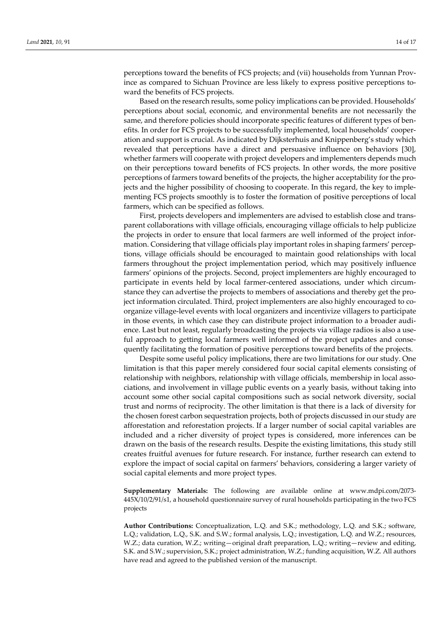perceptions toward the benefits of FCS projects; and (vii) households from Yunnan Province as compared to Sichuan Province are less likely to express positive perceptions toward the benefits of FCS projects.

Based on the research results, some policy implications can be provided. Households' perceptions about social, economic, and environmental benefits are not necessarily the same, and therefore policies should incorporate specific features of different types of benefits. In order for FCS projects to be successfully implemented, local households' cooperation and support is crucial. As indicated by Dijksterhuis and Knippenberg's study which revealed that perceptions have a direct and persuasive influence on behaviors [30], whether farmers will cooperate with project developers and implementers depends much on their perceptions toward benefits of FCS projects. In other words, the more positive perceptions of farmers toward benefits of the projects, the higher acceptability for the projects and the higher possibility of choosing to cooperate. In this regard, the key to implementing FCS projects smoothly is to foster the formation of positive perceptions of local farmers, which can be specified as follows.

First, projects developers and implementers are advised to establish close and transparent collaborations with village officials, encouraging village officials to help publicize the projects in order to ensure that local farmers are well informed of the project information. Considering that village officials play important roles in shaping farmers' perceptions, village officials should be encouraged to maintain good relationships with local farmers throughout the project implementation period, which may positively influence farmers' opinions of the projects. Second, project implementers are highly encouraged to participate in events held by local farmer-centered associations, under which circumstance they can advertise the projects to members of associations and thereby get the project information circulated. Third, project implementers are also highly encouraged to coorganize village-level events with local organizers and incentivize villagers to participate in those events, in which case they can distribute project information to a broader audience. Last but not least, regularly broadcasting the projects via village radios is also a useful approach to getting local farmers well informed of the project updates and consequently facilitating the formation of positive perceptions toward benefits of the projects.

Despite some useful policy implications, there are two limitations for our study. One limitation is that this paper merely considered four social capital elements consisting of relationship with neighbors, relationship with village officials, membership in local associations, and involvement in village public events on a yearly basis, without taking into account some other social capital compositions such as social network diversity, social trust and norms of reciprocity. The other limitation is that there is a lack of diversity for the chosen forest carbon sequestration projects, both of projects discussed in our study are afforestation and reforestation projects. If a larger number of social capital variables are included and a richer diversity of project types is considered, more inferences can be drawn on the basis of the research results. Despite the existing limitations, this study still creates fruitful avenues for future research. For instance, further research can extend to explore the impact of social capital on farmers' behaviors, considering a larger variety of social capital elements and more project types.

**Supplementary Materials:** The following are available online at www.mdpi.com/2073- 445X/10/2/91/s1, a household questionnaire survey of rural households participating in the two FCS projects

**Author Contributions:** Conceptualization, L.Q. and S.K.; methodology, L.Q. and S.K.; software, L.Q.; validation, L.Q., S.K. and S.W.; formal analysis, L.Q.; investigation, L.Q. and W.Z.; resources, W.Z.; data curation, W.Z.; writing—original draft preparation, L.Q.; writing—review and editing, S.K. and S.W.; supervision, S.K.; project administration, W.Z.; funding acquisition, W.Z. All authors have read and agreed to the published version of the manuscript.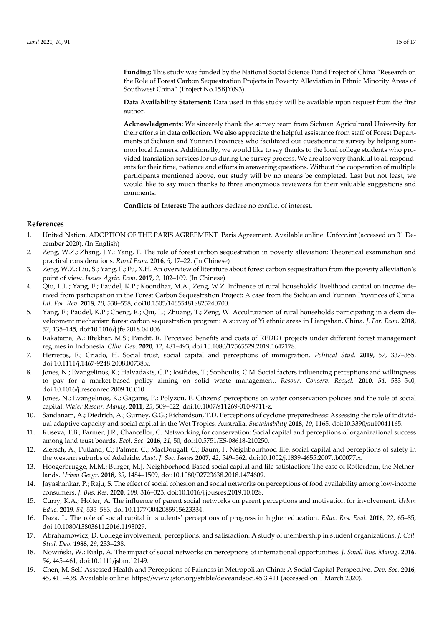**Funding:** This study was funded by the National Social Science Fund Project of China "Research on the Role of Forest Carbon Sequestration Projects in Poverty Alleviation in Ethnic Minority Areas of Southwest China" (Project No.15BJY093).

**Data Availability Statement:** Data used in this study will be available upon request from the first author.

**Acknowledgments:** We sincerely thank the survey team from Sichuan Agricultural University for their efforts in data collection. We also appreciate the helpful assistance from staff of Forest Departments of Sichuan and Yunnan Provinces who facilitated our questionnaire survey by helping summon local farmers. Additionally, we would like to say thanks to the local college students who provided translation services for us during the survey process. We are also very thankful to all respondents for their time, patience and efforts in answering questions. Without the cooperation of multiple participants mentioned above, our study will by no means be completed. Last but not least, we would like to say much thanks to three anonymous reviewers for their valuable suggestions and comments.

**Conflicts of Interest:** The authors declare no conflict of interest.

## **References**

- 1. United Nation. ADOPTION OF THE PARIS AGREEMENT−Paris Agreement. Available online: Unfccc.int (accessed on 31 December 2020). (In English)
- 2. Zeng, W.Z.; Zhang, J.Y.; Yang, F. The role of forest carbon sequestration in poverty alleviation: Theoretical examination and practical considerations. *Rural Econ.* **2016**, *5*, 17–22. (In Chinese)
- 3. Zeng, W.Z.; Liu, S.; Yang, F.; Fu, X.H. An overview of literature about forest carbon sequestration from the poverty alleviation's point of view. *Issues Agric. Econ.* **2017**, *2*, 102–109. (In Chinese)
- 4. Qiu, L.L.; Yang, F.; Paudel, K.P.; Koondhar, M.A.; Zeng, W.Z. Influence of rural households' livelihood capital on income derived from participation in the Forest Carbon Sequestration Project: A case from the Sichuan and Yunnan Provinces of China. *Int. For. Rev.* **2018**, *20*, 538–558, doi10.1505/146554818825240700.
- 5. Yang, F.; Paudel, K.P.; Cheng, R.; Qiu, L.; Zhuang, T.; Zeng, W. Acculturation of rural households participating in a clean development mechanism forest carbon sequestration program: A survey of Yi ethnic areas in Liangshan, China. *J. For. Econ.* **2018**, *32*, 135–145, doi:10.1016/j.jfe.2018.04.006.
- 6. Rakatama, A.; Iftekhar, M.S.; Pandit, R. Perceived benefits and costs of REDD+ projects under different forest management regimes in Indonesia. *Clim. Dev.* **2020**, *12*, 481–493, doi:10.1080/17565529.2019.1642178.
- 7. Herreros, F.; Criado, H. Social trust, social capital and perceptions of immigration. *Political Stud.* **2019**, *57*, 337–355, doi:10.1111/j.1467-9248.2008.00738.x.
- 8. Jones, N.; Evangelinos, K.; Halvadakis, C.P.; Iosifides, T.; Sophoulis, C.M. Social factors influencing perceptions and willingness to pay for a market-based policy aiming on solid waste management. *Resour. Conserv. Recycl.* **2010**, *54*, 533–540, doi:10.1016/j.resconrec.2009.10.010.
- 9. Jones, N.; Evangelinos, K.; Gaganis, P.; Polyzou, E. Citizens' perceptions on water conservation policies and the role of social capital. *Water Resour. Manag.* **2011**, *25*, 509–522, doi:10.1007/s11269-010-9711-z.
- 10. Sandanam, A.; Diedrich, A.; Gurney, G.G.; Richardson, T.D. Perceptions of cyclone preparedness: Assessing the role of individual adaptive capacity and social capital in the Wet Tropics, Australia. *Sustainability* **2018**, *10*, 1165, doi:10.3390/su10041165.
- 11. Ruseva, T.B.; Farmer, J.R.; Chancellor, C. Networking for conservation: Social capital and perceptions of organizational success among land trust boards. *Ecol. Soc.* **2016**, *21,* 50, doi:10.5751/ES-08618-210250.
- 12. Ziersch, A.; Putland, C.; Palmer, C.; MacDougall, C.; Baum, F. Neighbourhood life, social capital and perceptions of safety in the western suburbs of Adelaide. *Aust. J. Soc. Issues* **2007**, *42*, 549–562, doi:10.1002/j.1839-4655.2007.tb00077.x.
- 13. Hoogerbrugge, M.M.; Burger, M.J. Neighborhood-Based social capital and life satisfaction: The case of Rotterdam, the Netherlands. *Urban Geogr.* **2018**, *39*, 1484–1509, doi:10.1080/02723638.2018.1474609.
- 14. Jayashankar, P.; Raju, S. The effect of social cohesion and social networks on perceptions of food availability among low-income consumers. *J. Bus. Res.* **2020**, *108*, 316–323, doi:10.1016/j.jbusres.2019.10.028.
- 15. Curry, K.A.; Holter, A. The influence of parent social networks on parent perceptions and motivation for involvement. *Urban Educ.* **2019**, *54*, 535–563, doi:10.1177/0042085915623334.
- 16. Daza, L. The role of social capital in students' perceptions of progress in higher education. *Educ. Res. Eval.* **2016**, *22*, 65–85, doi:10.1080/13803611.2016.1193029.
- 17. Abrahamowicz, D. College involvement, perceptions, and satisfaction: A study of membership in student organizations. *J. Coll. Stud. Dev.* **1988**, *29*, 233–238.
- 18. Nowiński, W.; Rialp, A. The impact of social networks on perceptions of international opportunities. *J. Small Bus. Manag.* **2016**, *54*, 445–461, doi:10.1111/jsbm.12149.
- 19. Chen, M. Self-Assessed Health and Perceptions of Fairness in Metropolitan China: A Social Capital Perspective. *Dev. Soc.* **2016**, *45*, 411–438. Available online: https://www.jstor.org/stable/deveandsoci.45.3.411 (accessed on 1 March 2020).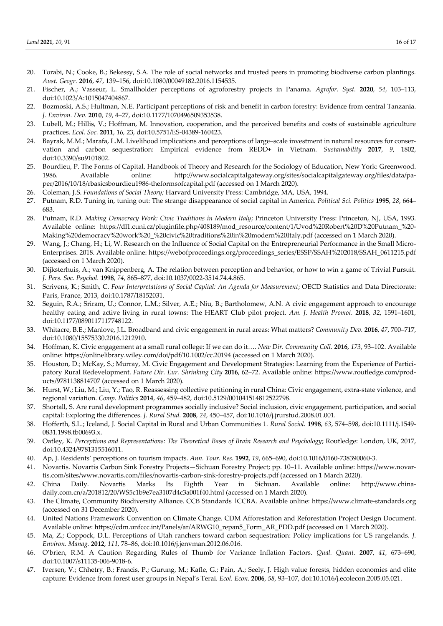- 20. Torabi, N.; Cooke, B.; Bekessy, S.A. The role of social networks and trusted peers in promoting biodiverse carbon plantings. *Aust. Geogr.* **2016**, *47*, 139–156, doi:10.1080/00049182.2016.1154535.
- 21. Fischer, A.; Vasseur, L. Smallholder perceptions of agroforestry projects in Panama. *Agrofor. Syst.* **2020**, *54*, 103–113, doi:10.1023/A:1015047404867.
- 22. Bozmoski, A.S.; Hultman, N.E. Participant perceptions of risk and benefit in carbon forestry: Evidence from central Tanzania. *J. Environ. Dev.* **2010**, *19*, 4–27, doi:10.1177/1070496509353538.
- 23. Lubell, M.; Hillis, V.; Hoffman, M. Innovation, cooperation, and the perceived benefits and costs of sustainable agriculture practices. *Ecol. Soc.* **2011**, *16,* 23, doi:10.5751/ES-04389-160423.
- 24. Bayrak, M.M.; Marafa, L.M. Livelihood implications and perceptions of large–scale investment in natural resources for conservation and carbon sequestration: Empirical evidence from REDD+ in Vietnam. *Sustainability* **2017**, *9*, 1802, doi:10.3390/su9101802.
- 25. Bourdieu, P. The Forms of Capital. Handbook of Theory and Research for the Sociology of Education, New York: Greenwood. 1986. Available online: http://www.socialcapitalgateway.org/sites/socialcapitalgateway.org/files/data/paper/2016/10/18/rbasicsbourdieu1986-theformsofcapital.pdf (accessed on 1 March 2020).
- 26. Coleman, J.S. *Foundations of Social Theory;* Harvard University Press: Cambridge, MA, USA, 1994.
- 27. Putnam, R.D. Tuning in, tuning out: The strange disappearance of social capital in America. *Political Sci. Politics* **1995**, *28*, 664– 683.
- 28. Putnam, R.D. *Making Democracy Work: Civic Traditions in Modern Italy*; Princeton University Press: Princeton, NJ, USA, 1993. Available online: https://dl1.cuni.cz/pluginfile.php/408189/mod\_resource/content/1/Uvod%20Robert%20D%20Putnam\_%20- Making%20democracy%20work%20\_%20civic%20traditions%20in%20modern%20Italy.pdf (accessed on 1 March 2020).
- 29. Wang, J.; Chang, H.; Li, W. Research on the Influence of Social Capital on the Entrepreneurial Performance in the Small Micro-Enterprises. 2018. Available online: https://webofproceedings.org/proceedings\_series/ESSP/SSAH%202018/SSAH\_0611215.pdf (accessed on 1 March 2020).
- 30. Dijksterhuis, A.; van Knippenberg, A. The relation between perception and behavior, or how to win a game of Trivial Pursuit. *J. Pers. Soc. Psychol.* **1998**, *74*, 865–877, doi:10.1037/0022-3514.74.4.865.
- 31. Scrivens, K.; Smith, C. *Four Interpretations of Social Capital: An Agenda for Measurement*; OECD Statistics and Data Directorate: Paris, France, 2013, doi:10.1787/18152031.
- 32. Seguin, R.A.; Sriram, U.; Connor, L.M.; Silver, A.E.; Niu, B.; Bartholomew, A.N. A civic engagement approach to encourage healthy eating and active living in rural towns: The HEART Club pilot project. *Am. J. Health Promot.* **2018**, *32*, 1591–1601, doi:10.1177/0890117117748122.
- 33. Whitacre, B.E.; Manlove, J.L. Broadband and civic engagement in rural areas: What matters? *Community Dev.* **2016**, *47*, 700–717, doi:10.1080/15575330.2016.1212910.
- 34. Hoffman, K. Civic engagement at a small rural college: If we can do it…. *New Dir. Community Coll.* **2016**, *173*, 93–102. Available online: https://onlinelibrary.wiley.com/doi/pdf/10.1002/cc.20194 (accessed on 1 March 2020).
- 35. Houston, D.; McKay, S.; Murray, M. Civic Engagement and Development Strategies: Learning from the Experience of Participatory Rural Redevelopment. *Future Dir. Eur. Shrinking City* **2016**, 62–72. Available online: https://www.routledge.com/products/9781138814707 (accessed on 1 March 2020).
- 36. Hurst, W.; Liu, M.; Liu, Y.; Tao, R. Reassessing collective petitioning in rural China: Civic engagement, extra-state violence, and regional variation. *Comp. Politics* **2014**, *46*, 459–482, doi:10.5129/001041514812522798.
- 37. Shortall, S. Are rural development programmes socially inclusive? Social inclusion, civic engagement, participation, and social capital: Exploring the differences. *J. Rural Stud.* **2008**, *24*, 450–457, doi:10.1016/j.jrurstud.2008.01.001.
- 38. Hofferth, S.L.; Iceland, J. Social Capital in Rural and Urban Communities 1. *Rural Sociol.* **1998**, *63*, 574–598, doi:10.1111/j.1549- 0831.1998.tb00693.x.
- 39. Oatley, K. *Perceptions and Representations: The Theoretical Bases of Brain Research and Psychology*; Routledge: London, UK, 2017, doi:10.4324/9781315516011.
- 40. Ap, J. Residents' perceptions on tourism impacts. *Ann. Tour. Res.* **1992**, *19*, 665–690, doi:10.1016/0160-738390060-3.
- 41. Novartis. Novartis Carbon Sink Forestry Projects—Sichuan Forestry Project; pp. 10–11. Available online: https://www.novartis.com/sites/www.novartis.com/files/novartis-carbon-sink-forestry-projects.pdf (accessed on 1 March 2020).
- 42. China Daily. Novartis Marks Its Eighth Year in Sichuan. Available online: http://www.chinadaily.com.cn/a/201812/20/WS5c1b9e7ea3107d4c3a001f40.html (accessed on 1 March 2020).
- 43. The Climate, Community Biodiversity Alliance. CCB Standards |CCBA. Available online: https://www.climate-standards.org (accessed on 31 December 2020).
- 44. United Nations Framework Convention on Climate Change. CDM Afforestation and Reforestation Project Design Document. Available online: https://cdm.unfccc.int/Panels/ar/ARWG10\_repan5\_Form\_AR\_PDD.pdf (accessed on 1 March 2020).
- 45. Ma, Z.; Coppock, D.L. Perceptions of Utah ranchers toward carbon sequestration: Policy implications for US rangelands. *J. Environ. Manag.* **2012**, *111*, 78–86, doi:10.1016/j.jenvman.2012.06.016.
- 46. O'brien, R.M. A Caution Regarding Rules of Thumb for Variance Inflation Factors. *Qual. Quant.* **2007**, *41*, 673–690, doi:10.1007/s11135-006-9018-6.
- 47. Iversen, V.; Chhetry, B.; Francis, P.; Gurung, M.; Kafle, G.; Pain, A.; Seely, J. High value forests, hidden economies and elite capture: Evidence from forest user groups in Nepal's Terai. *Ecol. Econ.* **2006**, *58*, 93–107, doi:10.1016/j.ecolecon.2005.05.021.